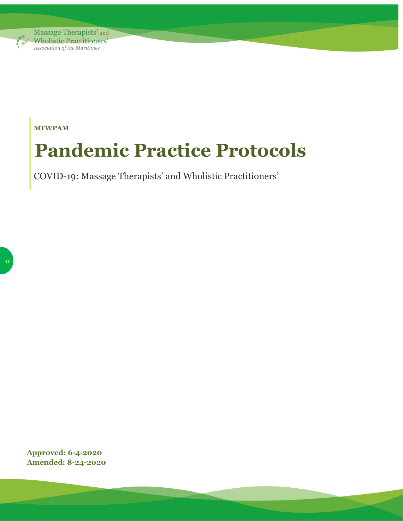

**MTWPAM**

# **Pandemic Practice Protocols**

COVID-19: Massage Therapists' and Wholistic Practitioners'

**Approved: 6-4-2020 Amended: 8-24-2020**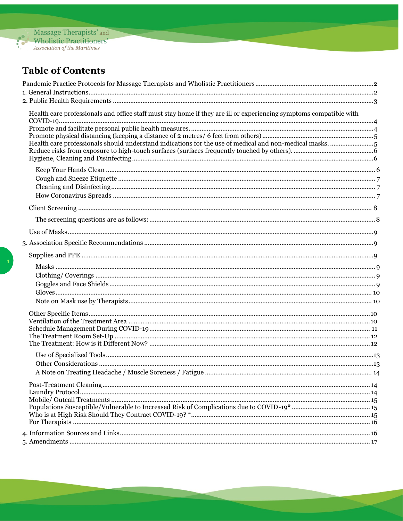

## **Table of Contents**

| Health care professionals and office staff must stay home if they are ill or experiencing symptoms compatible with<br>Health care professionals should understand indications for the use of medical and non-medical masks. 5 |  |
|-------------------------------------------------------------------------------------------------------------------------------------------------------------------------------------------------------------------------------|--|
|                                                                                                                                                                                                                               |  |
|                                                                                                                                                                                                                               |  |
|                                                                                                                                                                                                                               |  |
|                                                                                                                                                                                                                               |  |
|                                                                                                                                                                                                                               |  |
|                                                                                                                                                                                                                               |  |
|                                                                                                                                                                                                                               |  |
|                                                                                                                                                                                                                               |  |
|                                                                                                                                                                                                                               |  |
|                                                                                                                                                                                                                               |  |
|                                                                                                                                                                                                                               |  |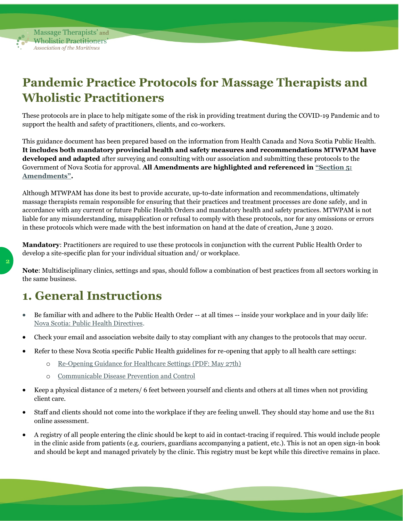

**2**

Massage Therapists' and **Wholistic Practitioners'** Association of the Maritimes

## <span id="page-2-0"></span>**Pandemic Practice Protocols for Massage Therapists and Wholistic Practitioners**

These protocols are in place to help mitigate some of the risk in providing treatment during the COVID-19 Pandemic and to support the health and safety of practitioners, clients, and co-workers.

This guidance document has been prepared based on the information from Health Canada and Nova Scotia Public Health. **It includes both mandatory provincial health and safety measures and recommendations MTWPAM have developed and adapted** after surveying and consulting with our association and submitting these protocols to the Government of Nova Scotia for approval. **All Amendments are highlighted and referenced in ["Section 5:](#page-17-0)  [Amendments"](#page-17-0).**

Although MTWPAM has done its best to provide accurate, up-to-date information and recommendations, ultimately massage therapists remain responsible for ensuring that their practices and treatment processes are done safely, and in accordance with any current or future Public Health Orders and mandatory health and safety practices. MTWPAM is not liable for any misunderstanding, misapplication or refusal to comply with these protocols, nor for any omissions or errors in these protocols which were made with the best information on hand at the date of creation, June 3 2020.

**Mandatory**: Practitioners are required to use these protocols in conjunction with the current Public Health Order to develop a site-specific plan for your individual situation and/ or workplace.

**Note**: Multidisciplinary clinics, settings and spas, should follow a combination of best practices from all sectors working in the same business.

## <span id="page-2-1"></span>**1. General Instructions**

- Be familiar with and adhere to the Public Health Order -- at all times -- inside your workplace and in your daily life: [Nova Scotia: Public Health Directives.](https://novascotia.ca/coronavirus/what-it-means-for-nova-scotians/)
- Check your email and association website daily to stay compliant with any changes to the protocols that may occur.
- Refer to these Nova Scotia specific Public Health guidelines for re-opening that apply to all health care settings:
	- o [Re-Opening Guidance for Healthcare Settings \(PDF: May 27th\)](https://novascotia.ca/dhw/cdpc/documents/Re-opening-Guidance-HCP.pdf)
	- o [Communicable Disease Prevention and Control](https://novascotia.ca/dhw/cdpc/coronavirus-documents.asp)
- Keep a physical distance of 2 meters/ 6 feet between yourself and clients and others at all times when not providing client care.
- Staff and clients should not come into the workplace if they are feeling unwell. They should stay home and use the 811 online assessment.
- A registry of all people entering the clinic should be kept to aid in contact-tracing if required. This would include people in the clinic aside from patients (e.g. couriers, guardians accompanying a patient, etc.). This is not an open sign-in book and should be kept and managed privately by the clinic. This registry must be kept while this directive remains in place.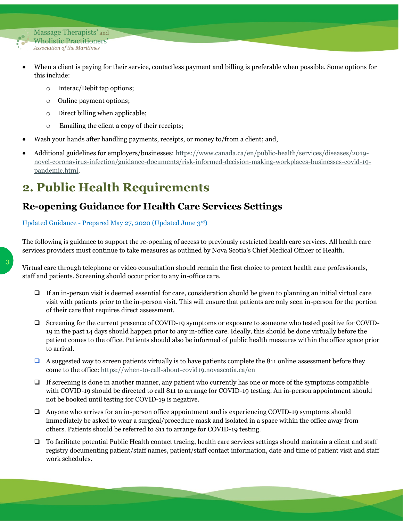

- When a client is paying for their service, contactless payment and billing is preferable when possible. Some options for this include:
	- o Interac/Debit tap options;
	- o Online payment options;
	- o Direct billing when applicable;
	- o Emailing the client a copy of their receipts;
- Wash your hands after handling payments, receipts, or money to/from a client; and,
- Additional guidelines for employers/businesses: [https://www.canada.ca/en/public-health/services/diseases/2019](https://www.canada.ca/en/public-health/services/diseases/2019-novel-coronavirus-infection/guidance-documents/risk-informed-decision-making-workplaces-businesses-covid-19-pandemic.html) [novel-coronavirus-infection/guidance-documents/risk-informed-decision-making-workplaces-businesses-covid-19](https://www.canada.ca/en/public-health/services/diseases/2019-novel-coronavirus-infection/guidance-documents/risk-informed-decision-making-workplaces-businesses-covid-19-pandemic.html) [pandemic.html.](https://www.canada.ca/en/public-health/services/diseases/2019-novel-coronavirus-infection/guidance-documents/risk-informed-decision-making-workplaces-businesses-covid-19-pandemic.html)

## <span id="page-3-0"></span>**2. Public Health Requirements**

## **Re-opening Guidance for Health Care Services Settings**

#### Updated Guidance - [Prepared May 27, 2020](https://novascotia.ca/dhw/cdpc/documents/Re-opening-Guidance-HCP.pdf) (Updated June 3rd)

The following is guidance to support the re-opening of access to previously restricted health care services. All health care services providers must continue to take measures as outlined by Nova Scotia's Chief Medical Officer of Health.

Virtual care through telephone or video consultation should remain the first choice to protect health care professionals, staff and patients. Screening should occur prior to any in-office care.

- ❑ If an in-person visit is deemed essential for care, consideration should be given to planning an initial virtual care visit with patients prior to the in-person visit. This will ensure that patients are only seen in-person for the portion of their care that requires direct assessment.
- ❑ Screening for the current presence of COVID-19 symptoms or exposure to someone who tested positive for COVID-19 in the past 14 days should happen prior to any in-office care. Ideally, this should be done virtually before the patient comes to the office. Patients should also be informed of public health measures within the office space prior to arrival.
- $\Box$  A suggested way to screen patients virtually is to have patients complete the 811 online assessment before they come to the office:<https://when-to-call-about-covid19.novascotia.ca/en>
- $\Box$  If screening is done in another manner, any patient who currently has one or more of the symptoms compatible with COVID-19 should be directed to call 811 to arrange for COVID-19 testing. An in-person appointment should not be booked until testing for COVID-19 is negative.
- ❑ Anyone who arrives for an in-person office appointment and is experiencing COVID-19 symptoms should immediately be asked to wear a surgical/procedure mask and isolated in a space within the office away from others. Patients should be referred to 811 to arrange for COVID-19 testing.
- ❑ To facilitate potential Public Health contact tracing, health care services settings should maintain a client and staff registry documenting patient/staff names, patient/staff contact information, date and time of patient visit and staff work schedules.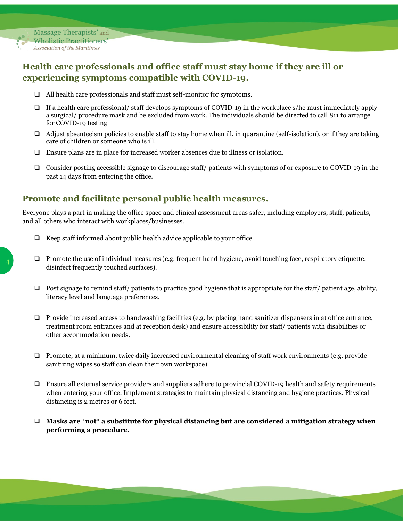

## <span id="page-4-0"></span>**Health care professionals and office staff must stay home if they are ill or experiencing symptoms compatible with COVID-19.**

- ❑ All health care professionals and staff must self-monitor for symptoms.
- $\Box$  If a health care professional/ staff develops symptoms of COVID-19 in the workplace s/he must immediately apply a surgical/ procedure mask and be excluded from work. The individuals should be directed to call 811 to arrange for COVID-19 testing
- $\Box$  Adjust absenteeism policies to enable staff to stay home when ill, in quarantine (self-isolation), or if they are taking care of children or someone who is ill.
- ❑ Ensure plans are in place for increased worker absences due to illness or isolation.
- ❑ Consider posting accessible signage to discourage staff/ patients with symptoms of or exposure to COVID-19 in the past 14 days from entering the office.

## <span id="page-4-1"></span>**Promote and facilitate personal public health measures.**

Everyone plays a part in making the office space and clinical assessment areas safer, including employers, staff, patients, and all others who interact with workplaces/businesses.

- ❑ Keep staff informed about public health advice applicable to your office.
- $\Box$  Promote the use of individual measures (e.g. frequent hand hygiene, avoid touching face, respiratory etiquette, disinfect frequently touched surfaces).
- $\Box$  Post signage to remind staff/ patients to practice good hygiene that is appropriate for the staff/ patient age, ability, literacy level and language preferences.
- ❑ Provide increased access to handwashing facilities (e.g. by placing hand sanitizer dispensers in at office entrance, treatment room entrances and at reception desk) and ensure accessibility for staff/ patients with disabilities or other accommodation needs.
- ❑ Promote, at a minimum, twice daily increased environmental cleaning of staff work environments (e.g. provide sanitizing wipes so staff can clean their own workspace).
- ❑ Ensure all external service providers and suppliers adhere to provincial COVID-19 health and safety requirements when entering your office. Implement strategies to maintain physical distancing and hygiene practices. Physical distancing is 2 metres or 6 feet.
- ❑ **Masks are \*not\* a substitute for physical distancing but are considered a mitigation strategy when performing a procedure.**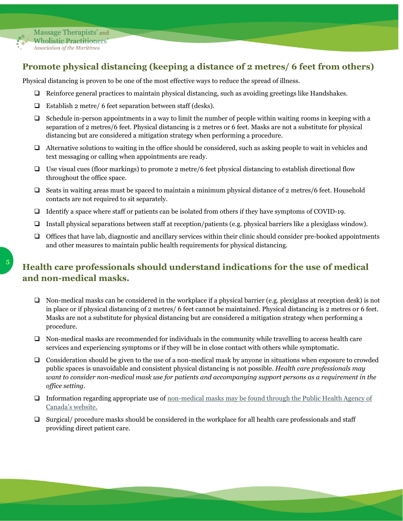

## <span id="page-5-0"></span>**Promote physical distancing (keeping a distance of 2 metres/ 6 feet from others)**

Physical distancing is proven to be one of the most effective ways to reduce the spread of illness.

- ❑ Reinforce general practices to maintain physical distancing, such as avoiding greetings like Handshakes.
- ❑ Establish 2 metre/ 6 feet separation between staff (desks).
- ❑ Schedule in-person appointments in a way to limit the number of people within waiting rooms in keeping with a separation of 2 metres/6 feet. Physical distancing is 2 metres or 6 feet. Masks are not a substitute for physical distancing but are considered a mitigation strategy when performing a procedure.
- ❑ Alternative solutions to waiting in the office should be considered, such as asking people to wait in vehicles and text messaging or calling when appointments are ready.
- ❑ Use visual cues (floor markings) to promote 2 metre/6 feet physical distancing to establish directional flow throughout the office space.
- ❑ Seats in waiting areas must be spaced to maintain a minimum physical distance of 2 metres/6 feet. Household contacts are not required to sit separately.
- ❑ Identify a space where staff or patients can be isolated from others if they have symptoms of COVID-19.
- ❑ Install physical separations between staff at reception/patients (e.g. physical barriers like a plexiglass window).
- ❑ Offices that have lab, diagnostic and ancillary services within their clinic should consider pre-booked appointments and other measures to maintain public health requirements for physical distancing.

## <span id="page-5-1"></span>**Health care professionals should understand indications for the use of medical and non-medical masks.**

- $\Box$  Non-medical masks can be considered in the workplace if a physical barrier (e.g. plexiglass at reception desk) is not in place or if physical distancing of 2 metres/ 6 feet cannot be maintained. Physical distancing is 2 metres or 6 feet. Masks are not a substitute for physical distancing but are considered a mitigation strategy when performing a procedure.
- ❑ Non-medical masks are recommended for individuals in the community while travelling to access health care services and experiencing symptoms or if they will be in close contact with others while symptomatic.
- ❑ Consideration should be given to the use of a non-medical mask by anyone in situations when exposure to crowded public spaces is unavoidable and consistent physical distancing is not possible. *Health care professionals may want to consider non-medical mask use for patients and accompanying support persons as a requirement in the office setting.*
- ❑ Information regarding appropriate use of [non-medical masks may be found through the Public Health Agency of](https://www.canada.ca/en/public-health/services/diseases/2019-novel-coronavirus-infection/prevention-risks/about-non-medical-masks-face-coverings.html#_Appropriate_non-medical_mask)  [Canada's website.](https://www.canada.ca/en/public-health/services/diseases/2019-novel-coronavirus-infection/prevention-risks/about-non-medical-masks-face-coverings.html#_Appropriate_non-medical_mask)
- ❑ Surgical/ procedure masks should be considered in the workplace for all health care professionals and staff providing direct patient care.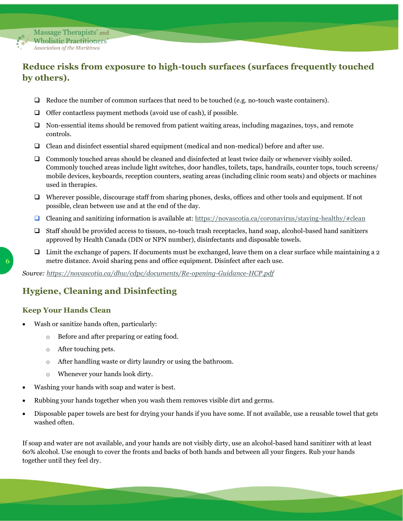

## <span id="page-6-0"></span>**Reduce risks from exposure to high-touch surfaces (surfaces frequently touched by others).**

- ❑ Reduce the number of common surfaces that need to be touched (e.g. no-touch waste containers).
- ❑ Offer contactless payment methods (avoid use of cash), if possible.
- ❑ Non-essential items should be removed from patient waiting areas, including magazines, toys, and remote controls.
- ❑ Clean and disinfect essential shared equipment (medical and non-medical) before and after use.
- ❑ Commonly touched areas should be cleaned and disinfected at least twice daily or whenever visibly soiled. Commonly touched areas include light switches, door handles, toilets, taps, handrails, counter tops, touch screens/ mobile devices, keyboards, reception counters, seating areas (including clinic room seats) and objects or machines used in therapies.
- ❑ Wherever possible, discourage staff from sharing phones, desks, offices and other tools and equipment. If not possible, clean between use and at the end of the day.
- □ Cleaning and sanitizing information is available at:<https://novascotia.ca/coronavirus/staying-healthy/#clean>
- ❑ Staff should be provided access to tissues, no-touch trash receptacles, hand soap, alcohol-based hand sanitizers approved by Health Canada (DIN or NPN number), disinfectants and disposable towels.
- ❑ Limit the exchange of papers. If documents must be exchanged, leave them on a clear surface while maintaining a 2 metre distance. Avoid sharing pens and office equipment. Disinfect after each use.

*Source:<https://novascotia.ca/dhw/cdpc/documents/Re-opening-Guidance-HCP.pdf>*

## <span id="page-6-1"></span>**Hygiene, Cleaning and Disinfecting**

#### <span id="page-6-2"></span>**Keep Your Hands Clean**

- Wash or sanitize hands often, particularly:
	- o Before and after preparing or eating food.
	- o After touching pets.
	- o After handling waste or dirty laundry or using the bathroom.
	- o Whenever your hands look dirty.
- Washing your hands with soap and water is best.
- Rubbing your hands together when you wash them removes visible dirt and germs.
- Disposable paper towels are best for drying your hands if you have some. If not available, use a reusable towel that gets washed often.

If soap and water are not available, and your hands are not visibly dirty, use an alcohol-based hand sanitizer with at least 60% alcohol. Use enough to cover the fronts and backs of both hands and between all your fingers. Rub your hands together until they feel dry.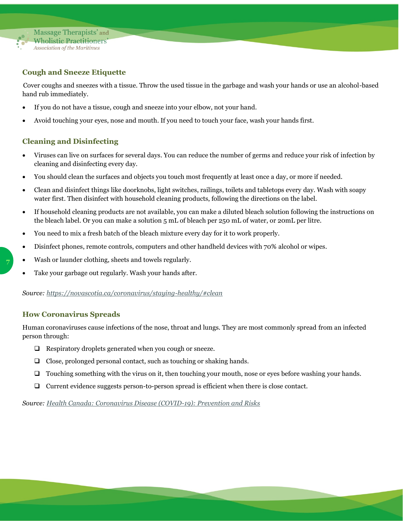

#### <span id="page-7-0"></span>**Cough and Sneeze Etiquette**

Cover coughs and sneezes with a tissue. Throw the used tissue in the garbage and wash your hands or use an alcohol-based hand rub immediately.

- If you do not have a tissue, cough and sneeze into your elbow, not your hand.
- Avoid touching your eyes, nose and mouth. If you need to touch your face, wash your hands first.

#### <span id="page-7-1"></span>**Cleaning and Disinfecting**

- Viruses can live on surfaces for several days. You can reduce the number of germs and reduce your risk of infection by cleaning and disinfecting every day.
- You should clean the surfaces and objects you touch most frequently at least once a day, or more if needed.
- Clean and disinfect things like doorknobs, light switches, railings, toilets and tabletops every day. Wash with soapy water first. Then disinfect with household cleaning products, following the directions on the label.
- If household cleaning products are not available, you can make a diluted bleach solution following the instructions on the bleach label. Or you can make a solution 5 mL of bleach per 250 mL of water, or 20mL per litre.
- You need to mix a fresh batch of the bleach mixture every day for it to work properly.
- Disinfect phones, remote controls, computers and other handheld devices with 70% alcohol or wipes.
- Wash or launder clothing, sheets and towels regularly.
- Take your garbage out regularly. Wash your hands after.

*Source:<https://novascotia.ca/coronavirus/staying-healthy/#clean>*

#### <span id="page-7-2"></span>**How Coronavirus Spreads**

Human coronaviruses cause infections of the nose, throat and lungs. They are most commonly spread from an infected person through:

- ❑ Respiratory droplets generated when you cough or sneeze.
- ❑ Close, prolonged personal contact, such as touching or shaking hands.
- ❑ Touching something with the virus on it, then touching your mouth, nose or eyes before washing your hands.
- ❑ Current evidence suggests person-to-person spread is efficient when there is close contact.

#### *Source: [Health Canada: Coronavirus Disease \(COVID-19\): Prevention and Risks](https://www.canada.ca/en/public-health/services/diseases/2019-novel-coronavirus-infection/prevention-risks.html)*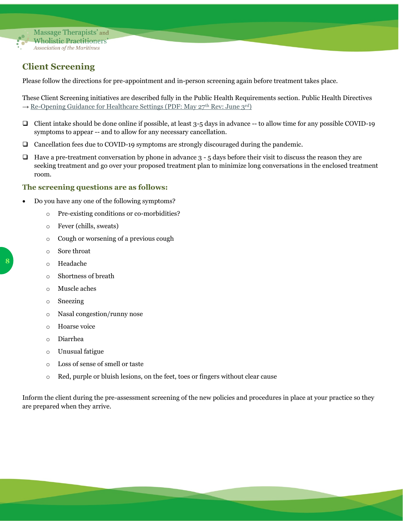

## <span id="page-8-0"></span>**Client Screening**

Please follow the directions for pre-appointment and in-person screening again before treatment takes place.

These Client Screening initiatives are described fully in the Public Health Requirements section. Public Health Directives  $\rightarrow$  [Re-Opening Guidance for Healthcare Settings \(PDF: May 27](https://novascotia.ca/dhw/cdpc/documents/Re-opening-Guidance-HCP.pdf)<sup>th</sup> Rev: June 3<sup>rd</sup>)

- ❑ Client intake should be done online if possible, at least 3-5 days in advance -- to allow time for any possible COVID-19 symptoms to appear -- and to allow for any necessary cancellation.
- ❑ Cancellation fees due to COVID-19 symptoms are strongly discouraged during the pandemic.
- $\Box$  Have a pre-treatment conversation by phone in advance  $3 5$  days before their visit to discuss the reason they are seeking treatment and go over your proposed treatment plan to minimize long conversations in the enclosed treatment room.

#### <span id="page-8-1"></span>**The screening questions are as follows:**

- Do you have any one of the following symptoms?
	- o Pre-existing conditions or co-morbidities?
	- o Fever (chills, sweats)
	- o Cough or worsening of a previous cough
	- o Sore throat
	- o Headache
	- o Shortness of breath
	- o Muscle aches
	- o Sneezing
	- o Nasal congestion/runny nose
	- o Hoarse voice
	- o Diarrhea
	- o Unusual fatigue
	- o Loss of sense of smell or taste
	- o Red, purple or bluish lesions, on the feet, toes or fingers without clear cause

Inform the client during the pre-assessment screening of the new policies and procedures in place at your practice so they are prepared when they arrive.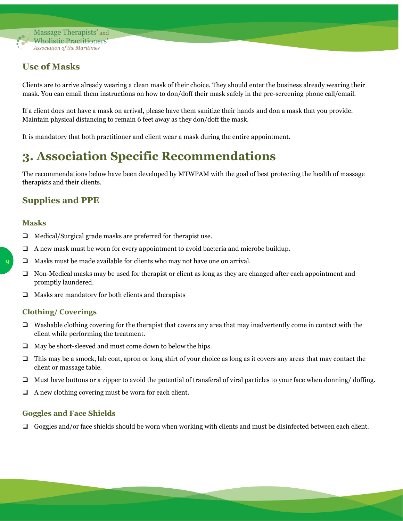

### <span id="page-9-0"></span>**Use of Masks**

Clients are to arrive already wearing a clean mask of their choice. They should enter the business already wearing their mask. You can email them instructions on how to don/doff their mask safely in the pre-screening phone call/email.

If a client does not have a mask on arrival, please have them sanitize their hands and don a mask that you provide. Maintain physical distancing to remain 6 feet away as they don/doff the mask.

It is mandatory that both practitioner and client wear a mask during the entire appointment.

## <span id="page-9-1"></span>**3. Association Specific Recommendations**

The recommendations below have been developed by MTWPAM with the goal of best protecting the health of massage therapists and their clients.

## <span id="page-9-2"></span>**Supplies and PPE**

#### <span id="page-9-3"></span>**Masks**

- ❑ Medical/Surgical grade masks are preferred for therapist use.
- ❑ A new mask must be worn for every appointment to avoid bacteria and microbe buildup.
- ❑ Masks must be made available for clients who may not have one on arrival.
- ❑ Non-Medical masks may be used for therapist or client as long as they are changed after each appointment and promptly laundered.
- ❑ Masks are mandatory for both clients and therapists

#### <span id="page-9-4"></span>**Clothing/ Coverings**

- $\Box$  Washable clothing covering for the therapist that covers any area that may inadvertently come in contact with the client while performing the treatment.
- ❑ May be short-sleeved and must come down to below the hips.
- $\Box$  This may be a smock, lab coat, apron or long shirt of your choice as long as it covers any areas that may contact the client or massage table.
- ❑ Must have buttons or a zipper to avoid the potential of transferal of viral particles to your face when donning/ doffing.
- ❑ A new clothing covering must be worn for each client.

#### <span id="page-9-5"></span>**Goggles and Face Shields**

❑ Goggles and/or face shields should be worn when working with clients and must be disinfected between each client.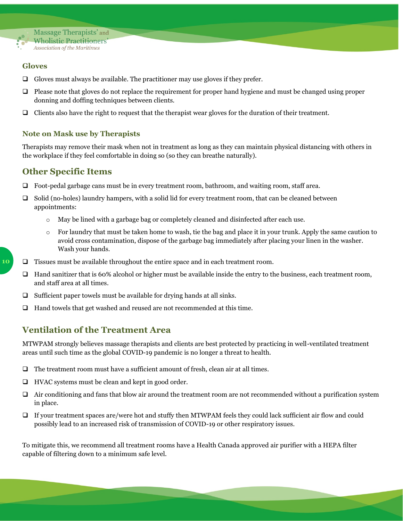

#### <span id="page-10-0"></span>**Gloves**

- ❑ Gloves must always be available. The practitioner may use gloves if they prefer.
- ❑ Please note that gloves do not replace the requirement for proper hand hygiene and must be changed using proper donning and doffing techniques between clients.
- ❑ Clients also have the right to request that the therapist wear gloves for the duration of their treatment.

#### <span id="page-10-1"></span>**Note on Mask use by Therapists**

Therapists may remove their mask when not in treatment as long as they can maintain physical distancing with others in the workplace if they feel comfortable in doing so (so they can breathe naturally).

#### <span id="page-10-2"></span>**Other Specific Items**

- ❑ Foot-pedal garbage cans must be in every treatment room, bathroom, and waiting room, staff area.
- ❑ Solid (no-holes) laundry hampers, with a solid lid for every treatment room, that can be cleaned between appointments:
	- o May be lined with a garbage bag or completely cleaned and disinfected after each use.
	- $\circ$  For laundry that must be taken home to wash, tie the bag and place it in your trunk. Apply the same caution to avoid cross contamination, dispose of the garbage bag immediately after placing your linen in the washer. Wash your hands.
- ❑ Tissues must be available throughout the entire space and in each treatment room.
- ❑ Hand sanitizer that is 60% alcohol or higher must be available inside the entry to the business, each treatment room, and staff area at all times.
- $\Box$  Sufficient paper towels must be available for drying hands at all sinks.
- ❑ Hand towels that get washed and reused are not recommended at this time.

#### <span id="page-10-3"></span>**Ventilation of the Treatment Area**

MTWPAM strongly believes massage therapists and clients are best protected by practicing in well-ventilated treatment areas until such time as the global COVID-19 pandemic is no longer a threat to health.

- ❑ The treatment room must have a sufficient amount of fresh, clean air at all times.
- ❑ HVAC systems must be clean and kept in good order.
- ❑ Air conditioning and fans that blow air around the treatment room are not recommended without a purification system in place.
- ❑ If your treatment spaces are/were hot and stuffy then MTWPAM feels they could lack sufficient air flow and could possibly lead to an increased risk of transmission of COVID-19 or other respiratory issues.

To mitigate this, we recommend all treatment rooms have a Health Canada approved air purifier with a HEPA filter capable of filtering down to a minimum safe level.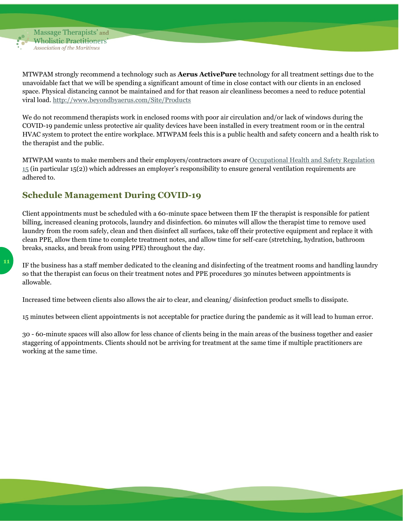

MTWPAM strongly recommend a technology such as **Aerus ActivePure** technology for all treatment settings due to the unavoidable fact that we will be spending a significant amount of time in close contact with our clients in an enclosed space. Physical distancing cannot be maintained and for that reason air cleanliness becomes a need to reduce potential viral load.<http://www.beyondbyaerus.com/Site/Products>

We do not recommend therapists work in enclosed rooms with poor air circulation and/or lack of windows during the COVID-19 pandemic unless protective air quality devices have been installed in every treatment room or in the central HVAC system to protect the entire workplace. MTWPAM feels this is a public health and safety concern and a health risk to the therapist and the public.

MTWPAM wants to make members and their employers/contractors aware of [Occupational Health and Safety Regulation](https://novascotia.ca/just/regulations/regs/ohsgensf.htm)   $15$  (in particular 15(2)) which addresses an employer's responsibility to ensure general ventilation requirements are adhered to.

### <span id="page-11-0"></span>**Schedule Management During COVID-19**

Client appointments must be scheduled with a 60-minute space between them IF the therapist is responsible for patient billing, increased cleaning protocols, laundry and disinfection. 60 minutes will allow the therapist time to remove used laundry from the room safely, clean and then disinfect all surfaces, take off their protective equipment and replace it with clean PPE, allow them time to complete treatment notes, and allow time for self-care (stretching, hydration, bathroom breaks, snacks, and break from using PPE) throughout the day.

IF the business has a staff member dedicated to the cleaning and disinfecting of the treatment rooms and handling laundry so that the therapist can focus on their treatment notes and PPE procedures 30 minutes between appointments is allowable.

Increased time between clients also allows the air to clear, and cleaning/ disinfection product smells to dissipate.

15 minutes between client appointments is not acceptable for practice during the pandemic as it will lead to human error.

30 - 60-minute spaces will also allow for less chance of clients being in the main areas of the business together and easier staggering of appointments. Clients should not be arriving for treatment at the same time if multiple practitioners are working at the same time.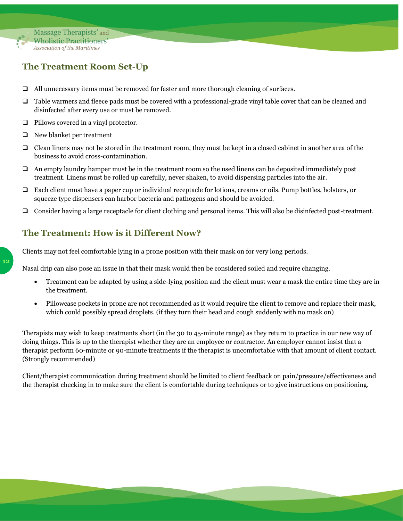

## <span id="page-12-0"></span>**The Treatment Room Set-Up**

- ❑ All unnecessary items must be removed for faster and more thorough cleaning of surfaces.
- ❑ Table warmers and fleece pads must be covered with a professional-grade vinyl table cover that can be cleaned and disinfected after every use or must be removed.
- ❑ Pillows covered in a vinyl protector.
- ❑ New blanket per treatment
- ❑ Clean linens may not be stored in the treatment room, they must be kept in a closed cabinet in another area of the business to avoid cross-contamination.
- ❑ An empty laundry hamper must be in the treatment room so the used linens can be deposited immediately post treatment. Linens must be rolled up carefully, never shaken, to avoid dispersing particles into the air.
- ❑ Each client must have a paper cup or individual receptacle for lotions, creams or oils. Pump bottles, holsters, or squeeze type dispensers can harbor bacteria and pathogens and should be avoided.
- ❑ Consider having a large receptacle for client clothing and personal items. This will also be disinfected post-treatment.

### <span id="page-12-1"></span>**The Treatment: How is it Different Now?**

Clients may not feel comfortable lying in a prone position with their mask on for very long periods.

Nasal drip can also pose an issue in that their mask would then be considered soiled and require changing.

- Treatment can be adapted by using a side-lying position and the client must wear a mask the entire time they are in the treatment.
- Pillowcase pockets in prone are not recommended as it would require the client to remove and replace their mask, which could possibly spread droplets. (if they turn their head and cough suddenly with no mask on)

Therapists may wish to keep treatments short (in the 30 to 45-minute range) as they return to practice in our new way of doing things. This is up to the therapist whether they are an employee or contractor. An employer cannot insist that a therapist perform 60-minute or 90-minute treatments if the therapist is uncomfortable with that amount of client contact. (Strongly recommended)

Client/therapist communication during treatment should be limited to client feedback on pain/pressure/effectiveness and the therapist checking in to make sure the client is comfortable during techniques or to give instructions on positioning.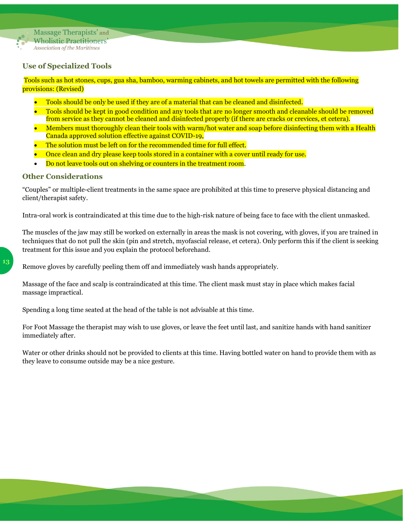

#### <span id="page-13-0"></span>**Use of Specialized Tools**

Tools such as hot stones, cups, gua sha, bamboo, warming cabinets, and hot towels are permitted with the following provisions: (Revised)

- Tools should be only be used if they are of a material that can be cleaned and disinfected.
- Tools should be kept in good condition and any tools that are no longer smooth and cleanable should be removed from service as they cannot be cleaned and disinfected properly (if there are cracks or crevices, et cetera).
- Members must thoroughly clean their tools with warm/hot water and soap before disinfecting them with a Health Canada approved solution effective against COVID-19,
- The solution must be left on for the recommended time for full effect.
- Once clean and dry please keep tools stored in a container with a cover until ready for use.
- Do not leave tools out on shelving or counters in the treatment room.

#### <span id="page-13-1"></span>**Other Considerations**

"Couples" or multiple-client treatments in the same space are prohibited at this time to preserve physical distancing and client/therapist safety.

Intra-oral work is contraindicated at this time due to the high-risk nature of being face to face with the client unmasked.

The muscles of the jaw may still be worked on externally in areas the mask is not covering, with gloves, if you are trained in techniques that do not pull the skin (pin and stretch, myofascial release, et cetera). Only perform this if the client is seeking treatment for this issue and you explain the protocol beforehand.

Remove gloves by carefully peeling them off and immediately wash hands appropriately.

Massage of the face and scalp is contraindicated at this time. The client mask must stay in place which makes facial massage impractical.

Spending a long time seated at the head of the table is not advisable at this time.

For Foot Massage the therapist may wish to use gloves, or leave the feet until last, and sanitize hands with hand sanitizer immediately after.

Water or other drinks should not be provided to clients at this time. Having bottled water on hand to provide them with as they leave to consume outside may be a nice gesture.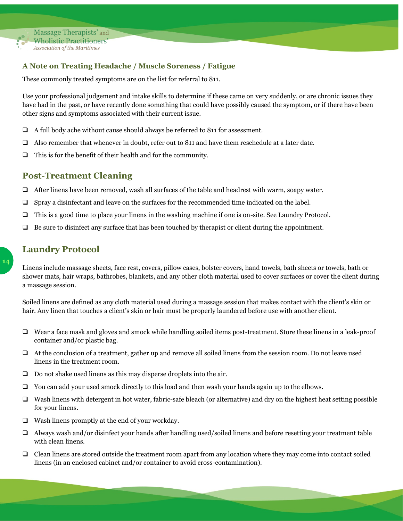

#### <span id="page-14-0"></span>**A Note on Treating Headache / Muscle Soreness / Fatigue**

These commonly treated symptoms are on the list for referral to 811.

Use your professional judgement and intake skills to determine if these came on very suddenly, or are chronic issues they have had in the past, or have recently done something that could have possibly caused the symptom, or if there have been other signs and symptoms associated with their current issue.

- ❑ A full body ache without cause should always be referred to 811 for assessment.
- ❑ Also remember that whenever in doubt, refer out to 811 and have them reschedule at a later date.
- ❑ This is for the benefit of their health and for the community.

#### <span id="page-14-1"></span>**Post-Treatment Cleaning**

- ❑ After linens have been removed, wash all surfaces of the table and headrest with warm, soapy water.
- ❑ Spray a disinfectant and leave on the surfaces for the recommended time indicated on the label.
- ❑ This is a good time to place your linens in the washing machine if one is on-site. See Laundry Protocol.
- ❑ Be sure to disinfect any surface that has been touched by therapist or client during the appointment.

### <span id="page-14-2"></span>**Laundry Protocol**

Linens include massage sheets, face rest, covers, pillow cases, bolster covers, hand towels, bath sheets or towels, bath or shower mats, hair wraps, bathrobes, blankets, and any other cloth material used to cover surfaces or cover the client during a massage session.

Soiled linens are defined as any cloth material used during a massage session that makes contact with the client's skin or hair. Any linen that touches a client's skin or hair must be properly laundered before use with another client.

- ❑ Wear a face mask and gloves and smock while handling soiled items post-treatment. Store these linens in a leak-proof container and/or plastic bag.
- ❑ At the conclusion of a treatment, gather up and remove all soiled linens from the session room. Do not leave used linens in the treatment room.
- ❑ Do not shake used linens as this may disperse droplets into the air.
- ❑ You can add your used smock directly to this load and then wash your hands again up to the elbows.
- ❑ Wash linens with detergent in hot water, fabric-safe bleach (or alternative) and dry on the highest heat setting possible for your linens.
- ❑ Wash linens promptly at the end of your workday.
- ❑ Always wash and/or disinfect your hands after handling used/soiled linens and before resetting your treatment table with clean linens.
- ❑ Clean linens are stored outside the treatment room apart from any location where they may come into contact soiled linens (in an enclosed cabinet and/or container to avoid cross-contamination).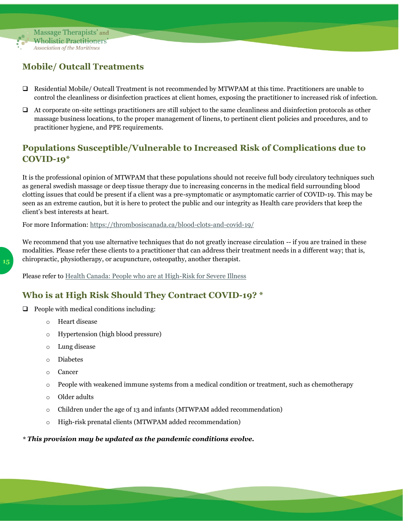

## <span id="page-15-0"></span>**Mobile/ Outcall Treatments**

- ❑ Residential Mobile/ Outcall Treatment is not recommended by MTWPAM at this time. Practitioners are unable to control the cleanliness or disinfection practices at client homes, exposing the practitioner to increased risk of infection.
- ❑ At corporate on-site settings practitioners are still subject to the same cleanliness and disinfection protocols as other massage business locations, to the proper management of linens, to pertinent client policies and procedures, and to practitioner hygiene, and PPE requirements.

### <span id="page-15-1"></span>**Populations Susceptible/Vulnerable to Increased Risk of Complications due to COVID-19\***

It is the professional opinion of MTWPAM that these populations should not receive full body circulatory techniques such as general swedish massage or deep tissue therapy due to increasing concerns in the medical field surrounding blood clotting issues that could be present if a client was a pre-symptomatic or asymptomatic carrier of COVID-19. This may be seen as an extreme caution, but it is here to protect the public and our integrity as Health care providers that keep the client's best interests at heart.

For more Information:<https://thrombosiscanada.ca/blood-clots-and-covid-19/>

We recommend that you use alternative techniques that do not greatly increase circulation -- if you are trained in these modalities. Please refer these clients to a practitioner that can address their treatment needs in a different way; that is, chiropractic, physiotherapy, or acupuncture, osteopathy, another therapist.

Please refer to [Health Canada: People who are at High-Risk for Severe Illness](https://www.canada.ca/en/public-health/services/publications/diseases-conditions/people-high-risk-for-severe-illness-covid-19.html)

#### <span id="page-15-2"></span>**Who is at High Risk Should They Contract COVID-19? \***

- ❑ People with medical conditions including:
	- o Heart disease
	- o Hypertension (high blood pressure)
	- o Lung disease
	- o Diabetes
	- o Cancer
	- $\circ$  People with weakened immune systems from a medical condition or treatment, such as chemotherapy
	- o Older adults
	- $\circ$  Children under the age of 13 and infants (MTWPAM added recommendation)
	- o High-risk prenatal clients (MTWPAM added recommendation)

#### *\* This provision may be updated as the pandemic conditions evolve.*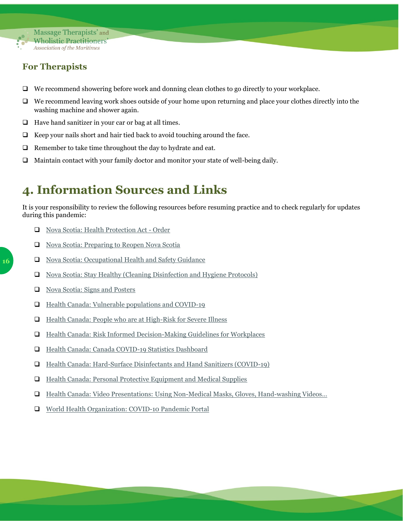

### <span id="page-16-0"></span>**For Therapists**

- ❑ We recommend showering before work and donning clean clothes to go directly to your workplace.
- ❑ We recommend leaving work shoes outside of your home upon returning and place your clothes directly into the washing machine and shower again.
- ❑ Have hand sanitizer in your car or bag at all times.
- $\Box$  Keep your nails short and hair tied back to avoid touching around the face.
- ❑ Remember to take time throughout the day to hydrate and eat.
- ❑ Maintain contact with your family doctor and monitor your state of well-being daily.

## <span id="page-16-1"></span>**4. Information Sources and Links**

It is your responsibility to review the following resources before resuming practice and to check regularly for updates during this pandemic:

- ❑ [Nova Scotia: Health Protection Act -](https://novascotia.ca/coronavirus/working-during-covid-19/#health-protection-act-order) Order
- ❑ [Nova Scotia: Preparing to Reopen Nova Scotia](https://novascotia.ca/reopening-nova-scotia/)
- ❑ [Nova Scotia: Occupational Health and Safety Guidance](https://novascotia.ca/coronavirus/occupational-health-and-safety/)
- ❑ [Nova Scotia: Stay Healthy \(Cleaning Disinfection and Hygiene Protocols\)](https://novascotia.ca/coronavirus/staying-healthy/#clean)
- ❑ [Nova Scotia: Signs and Posters](https://novascotia.ca/coronavirus/resources/)
- ❑ [Health Canada: Vulnerable populations and COVID-19](https://www.canada.ca/en/public-health/services/publications/diseases-conditions/vulnerable-populations-covid-19.html)
- ❑ [Health Canada: People who are at High-Risk for Severe Illness](https://www.canada.ca/en/public-health/services/publications/diseases-conditions/people-high-risk-for-severe-illness-covid-19.html)
- ❑ [Health Canada: Risk Informed Decision-Making Guidelines for Workplaces](https://www.canada.ca/en/public-health/services/diseases/2019-novel-coronavirus-infection/guidance-documents/risk-informed-decision-making-workplaces-businesses-covid-19-pandemic.html)
- ❑ [Health Canada: Canada COVID-19 Statistics Dashboard](https://experience.arcgis.com/experience/2f1a13ca0b29422f9b34660f0b705043/)
- ❑ [Health Canada: Hard-Surface Disinfectants and Hand Sanitizers \(COVID-19\)](https://www.canada.ca/en/health-canada/services/drugs-health-products/disinfectants/covid-19.html#a2)
- ❑ [Health Canada: Personal Protective Equipment and Medical Supplies](https://www.canada.ca/en/public-health/services/diseases/coronavirus-disease-covid-19/personal-protective-equipment-medical-supplies.html)
- ❑ [Health Canada: Video Presentations: Using Non-Medical Masks, Gloves, Hand-](https://www.canada.ca/en/public-health/services/diseases/2019-novel-coronavirus-infection/awareness-resources.html)washing Videos…
- ❑ [World Health Organization: COVID-10 Pandemic Portal](https://www.who.int/emergencies/diseases/novel-coronavirus-2019)